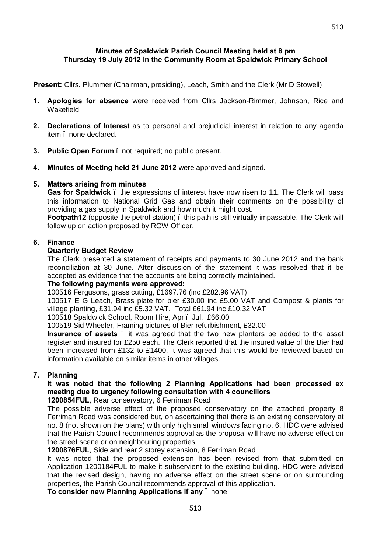## **Minutes of Spaldwick Parish Council Meeting held at 8 pm Thursday 19 July 2012 in the Community Room at Spaldwick Primary School**

**Present:** Cllrs. Plummer (Chairman, presiding), Leach, Smith and the Clerk (Mr D Stowell)

- **1. Apologies for absence** were received from Cllrs Jackson-Rimmer, Johnson, Rice and Wakefield
- **2. Declarations of Interest** as to personal and prejudicial interest in relation to any agenda item – none declared.
- **3. Public Open Forum**  not required; no public present.
- **4. Minutes of Meeting held 21 June 2012** were approved and signed.

## **5. Matters arising from minutes**

**Gas for Spaldwick** – the expressions of interest have now risen to 11. The Clerk will pass this information to National Grid Gas and obtain their comments on the possibility of providing a gas supply in Spaldwick and how much it might cost.

**Footpath12** (opposite the petrol station). this path is still virtually impassable. The Clerk will follow up on action proposed by ROW Officer.

## **6. Finance**

## **Quarterly Budget Review**

The Clerk presented a statement of receipts and payments to 30 June 2012 and the bank reconciliation at 30 June. After discussion of the statement it was resolved that it be accepted as evidence that the accounts are being correctly maintained.

## **The following payments were approved:**

100516 Fergusons, grass cutting, £1697.76 (inc £282.96 VAT)

100517 E G Leach, Brass plate for bier £30.00 inc £5.00 VAT and Compost & plants for village planting, £31.94 inc £5.32 VAT. Total £61.94 inc £10.32 VAT

100518 Spaldwick School, Room Hire, Apr. Jul, £66.00

100519 Sid Wheeler, Framing pictures of Bier refurbishment, £32.00

**Insurance of assets** – it was agreed that the two new planters be added to the asset register and insured for £250 each. The Clerk reported that the insured value of the Bier had been increased from £132 to £1400. It was agreed that this would be reviewed based on information available on similar items in other villages.

## **7. Planning**

# **It was noted that the following 2 Planning Applications had been processed ex meeting due to urgency following consultation with 4 councillors**

**1200854FUL**, Rear conservatory, 6 Ferriman Road

The possible adverse effect of the proposed conservatory on the attached property 8 Ferriman Road was considered but, on ascertaining that there is an existing conservatory at no. 8 (not shown on the plans) with only high small windows facing no. 6, HDC were advised that the Parish Council recommends approval as the proposal will have no adverse effect on the street scene or on neighbouring properties.

## **1200876FUL**, Side and rear 2 storey extension, 8 Ferriman Road

It was noted that the proposed extension has been revised from that submitted on Application 1200184FUL to make it subservient to the existing building. HDC were advised that the revised design, having no adverse effect on the street scene or on surrounding properties, the Parish Council recommends approval of this application.

**To consider new Planning Applications if any** – none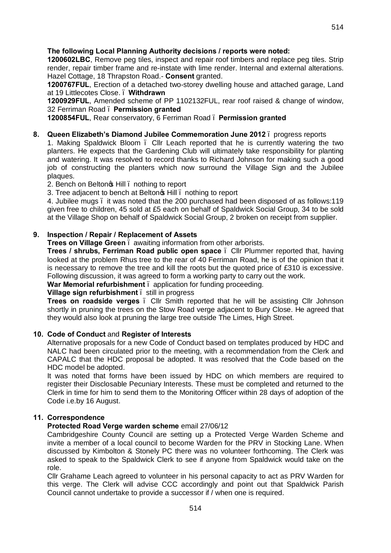## **The following Local Planning Authority decisions / reports were noted:**

**1200602LBC**, [Remove peg tiles, inspect and repair roof timbers and replace peg tiles. Strip](http://publicaccess.huntsdc.gov.uk/online-applications/applicationDetails.do;jsessionid=1E3393FDD314F98E9A0E4B69B204775B?activeTab=summary&keyVal=M2SCGXIK00S00)  [render, repair timber frame and re-instate with lime render. Internal and external alterations.](http://publicaccess.huntsdc.gov.uk/online-applications/applicationDetails.do;jsessionid=1E3393FDD314F98E9A0E4B69B204775B?activeTab=summary&keyVal=M2SCGXIK00S00)  Hazel Cottage, 18 Thrapston Road.- **Consent** granted.

**1200767FUL**, Erection of a detached two-storey dwelling house and attached garage, Land at 19 Littlecotes Close. – **Withdrawn**

**1200929FUL**, Amended scheme of PP 1102132FUL, rear roof raised & change of window, 32 Ferriman Road – **Permission granted**

**1200854FUL**, Rear conservatory, 6 Ferriman Road – **Permission granted**

### **8. Queen Elizabeth's Diamond Jubilee Commemoration June 2012** – progress reports

1. Making Spaldwick Bloom – Cllr Leach reported that he is currently watering the two planters. He expects that the Gardening Club will ultimately take responsibility for planting and watering. It was resolved to record thanks to Richard Johnson for making such a good job of constructing the planters which now surround the Village Sign and the Jubilee plaques.

2. Bench on Belton<sub>o</sub> Hill, nothing to report

3. Tree adiacent to bench at Belton<sup>o</sup>s Hill, nothing to report

4. Jubilee mugs – it was noted that the 200 purchased had been disposed of as follows:119 given free to children, 45 sold at £5 each on behalf of Spaldwick Social Group, 34 to be sold at the Village Shop on behalf of Spaldwick Social Group, 2 broken on receipt from supplier.

### **9. Inspection / Repair / Replacement of Assets**

**Trees on Village Green** – awaiting information from other arborists.

**Trees / shrubs, Ferriman Road public open space** – Cllr Plummer reported that, having looked at the problem Rhus tree to the rear of 40 Ferriman Road, he is of the opinion that it is necessary to remove the tree and kill the roots but the quoted price of £310 is excessive. Following discussion, it was agreed to form a working party to carry out the work.

**War Memorial refurbishment** – application for funding proceeding.

### **Village sign refurbishment** – still in progress

**Trees on roadside verges** – Cllr Smith reported that he will be assisting Cllr Johnson shortly in pruning the trees on the Stow Road verge adjacent to Bury Close. He agreed that they would also look at pruning the large tree outside The Limes, High Street.

### **10. Code of Conduct** and **Register of Interests**

Alternative proposals for a new Code of Conduct based on templates produced by HDC and NALC had been circulated prior to the meeting, with a recommendation from the Clerk and CAPALC that the HDC proposal be adopted. It was resolved that the Code based on the HDC model be adopted.

It was noted that forms have been issued by HDC on which members are required to register their Disclosable Pecuniary Interests. These must be completed and returned to the Clerk in time for him to send them to the Monitoring Officer within 28 days of adoption of the Code i.e.by 16 August.

## **11. Correspondence**

## **Protected Road Verge warden scheme** email 27/06/12

Cambridgeshire County Council are setting up a Protected Verge Warden Scheme and invite a member of a local council to become Warden for the PRV in Stocking Lane. When discussed by Kimbolton & Stonely PC there was no volunteer forthcoming. The Clerk was asked to speak to the Spaldwick Clerk to see if anyone from Spaldwick would take on the role.

Cllr Grahame Leach agreed to volunteer in his personal capacity to act as PRV Warden for this verge. The Clerk will advise CCC accordingly and point out that Spaldwick Parish Council cannot undertake to provide a successor if / when one is required.